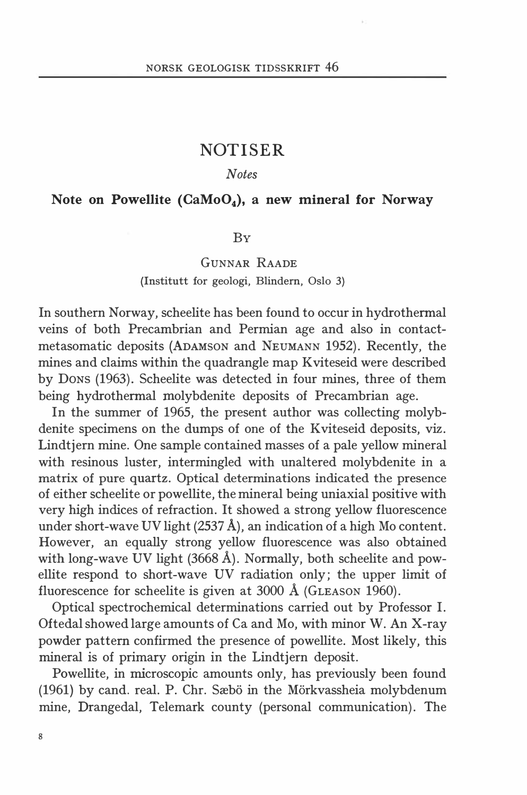# NOTISER

## Notes

## Note on Powellite  $(CaMoO<sub>4</sub>)$ , a new mineral for Norway

## BY

# GUNNAR RAADE

## (Institutt for geologi, Blindern, Oslo 3)

In southern Norway, scheelite has been found to occur in hydrothermal veins of both Precambrian and Permian age and also in contactmetasomatic deposits (ADAMSON and NEUMANN 1952). Recently, the mines and claims within the quadrangle map Kviteseid were described by DoNs (1963). Scheelite was detected in four mines, three of them being hydrothermal molybdenite deposits of Precambrian age.

In the summer of 1965, the present author was collecting molybdenite specimens on the dumps of one of the Kviteseid deposits, viz. Lindtjern mine. One sample contained masses of a pale yellow mineral with resinous Iuster, intermingled with unaltered molybdenite in a matrix of pure quartz. Optical determinations indicated the presence of either scheelite or powellite, the mineral being uniaxial positive with very high indices of refraction. It showed a strong yellow fluorescence under short-wave UV light (2537 Å), an indication of a high Mo content. However, an equally strong yellow fluorescence was also obtained with long-wave UV light  $(3668 \text{ Å})$ . Normally, both scheelite and powellite respond to short-wave UV radiation only; the upper limit of fluorescence for scheelite is given at 3000 Å (GLEASON 1960).

Optical spectrochemical determinations carried out by Professor I. Oftedal showed large amounts of Ca and Mo, with minor W. An X-ray powder pattern confirmed the presence of powellite. Most likely, this mineral is of primary origin in the Lindtjern deposit.

Powellite, in microscopic amounts only, has previously been found (1961) by cand. real. P. Chr. Sæbö in the Mörkvassheia molybdenum mine, Drangedal, Telemark county (personal communication). The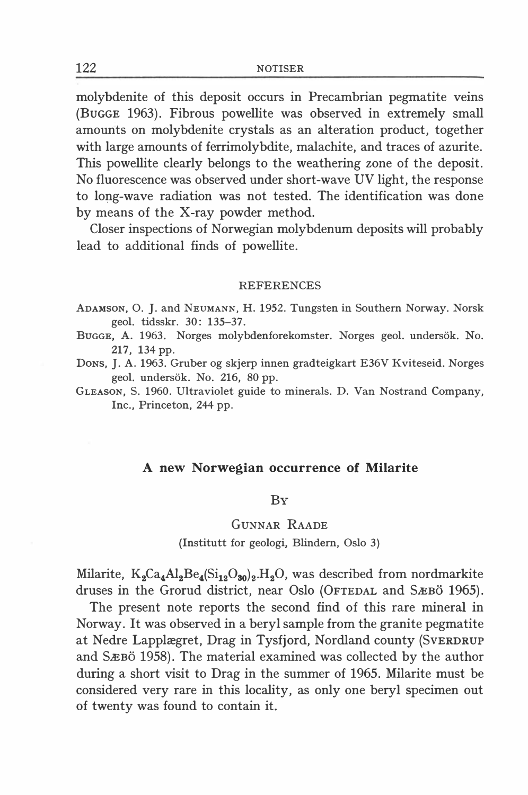molybdenite of this deposit occurs in Precambrian pegmatite veins (BuGGE 1963). Fibrous powellite was observed in extremely small amounts on molybdenite crystals as an alteration product, together with large amounts of ferrimolybdite, malachite, and traces of azurite. This powellite clearly belongs to the weathering zone of the deposit. No fluorescence was observed under short-wave UV light, the response to long-wave radiation was not tested. The identification was done by means of the X-ray powder method.

Closer inspections of Norwegian molybdenum deposits will probably lead to additional finds of powellite.

#### **REFERENCES**

- ADAMSON, O. J. and NEUMANN, H. 1952. Tungsten in Southern Norway. Norsk geol. tidsskr. 30: 135-37.
- BuGGE, A. 1963. Norges molybdenforekomster. Norges geol. undersok. No. 217, 134 pp.
- DoNs, J. A. 1963. Gruber og skjerp innen gradteigkart E36V Kviteseid. Norges geol. undersök. No. 216, 80 pp.
- GLEASON, S. 1960. Ultraviolet guide to minerals. D. Van Nostrand Company, Inc., Princeton, 244 pp.

#### A new Norwegian occurrence of Milarite

### BY

### GUNNAR RAADE

#### (Institutt for geologi, Blindern, Oslo 3)

Milarite,  $K_2Ca_4Al_2Be_4(Si_{12}O_{30})_2.H_2O$ , was described from nordmarkite druses in the Grorud district, near Oslo (OFTEDAL and SÆBO 1965).

The present note reports the second find of this rare mineral in Norway. It was observed in a beryl sample from the granite pegmatite at Nedre Lapplægret, Drag in Tysfjord, Nordland county {SVERDRUP and SÆBÖ 1958). The material examined was collected by the author during a short visit to Drag in the summer of 1965. Milarite must be considered very rare in this locality, as only one beryl specimen out of twenty was found to contain it.